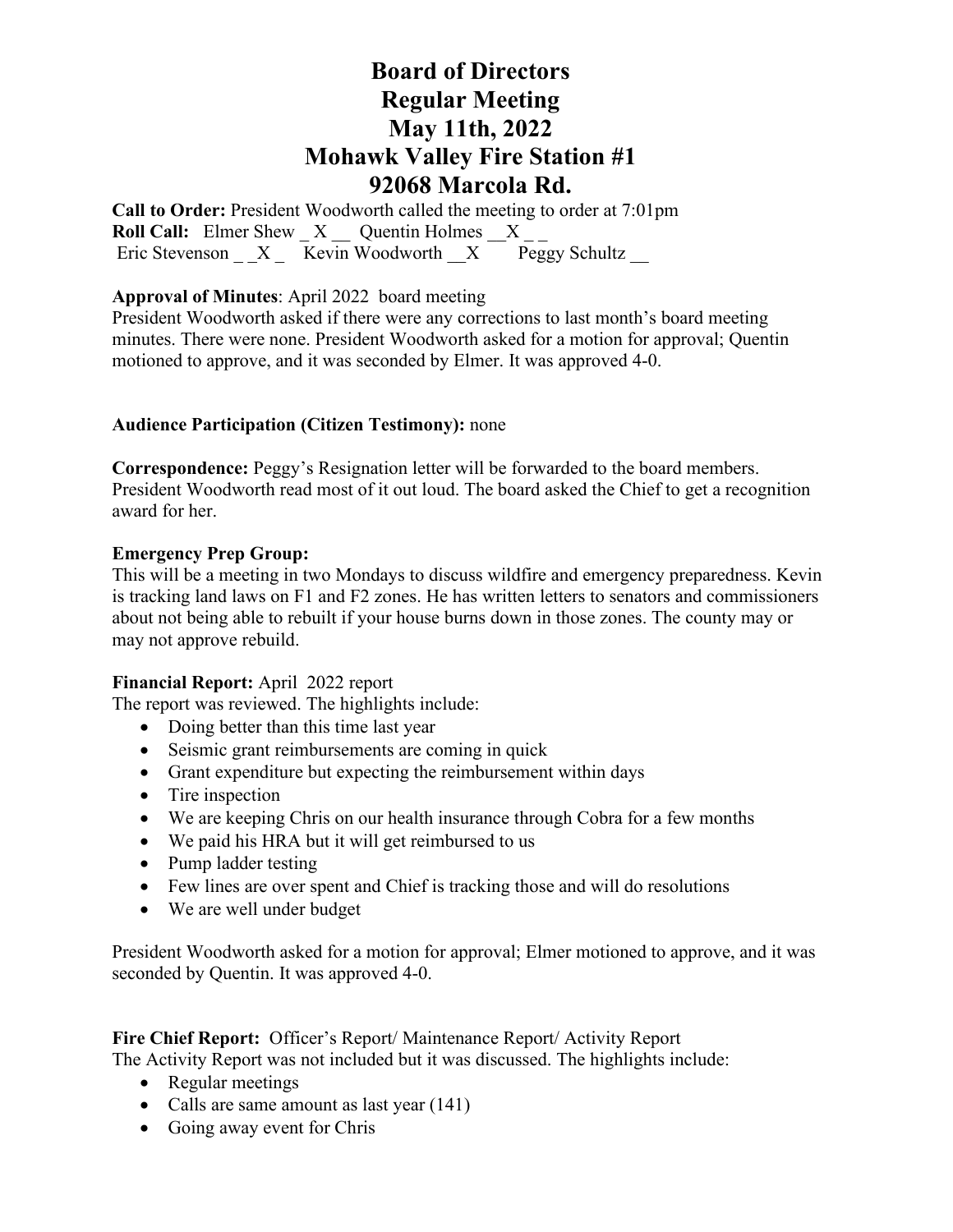**Call to Order:** President Woodworth called the meeting to order at 7:01pm **Roll Call:** Elmer Shew X Quentin Holmes X Eric Stevenson  $X$  Kevin Woodworth  $X$  Peggy Schultz

### **Approval of Minutes**: April 2022 board meeting

President Woodworth asked if there were any corrections to last month's board meeting minutes. There were none. President Woodworth asked for a motion for approval; Quentin motioned to approve, and it was seconded by Elmer. It was approved 4-0.

### **Audience Participation (Citizen Testimony):** none

**Correspondence:** Peggy's Resignation letter will be forwarded to the board members. President Woodworth read most of it out loud. The board asked the Chief to get a recognition award for her.

#### **Emergency Prep Group:**

This will be a meeting in two Mondays to discuss wildfire and emergency preparedness. Kevin is tracking land laws on F1 and F2 zones. He has written letters to senators and commissioners about not being able to rebuilt if your house burns down in those zones. The county may or may not approve rebuild.

#### **Financial Report:** April 2022 report

The report was reviewed. The highlights include:

- Doing better than this time last year
- Seismic grant reimbursements are coming in quick
- Grant expenditure but expecting the reimbursement within days
- Tire inspection
- We are keeping Chris on our health insurance through Cobra for a few months
- We paid his HRA but it will get reimbursed to us
- Pump ladder testing
- Few lines are over spent and Chief is tracking those and will do resolutions
- We are well under budget

President Woodworth asked for a motion for approval; Elmer motioned to approve, and it was seconded by Quentin. It was approved 4-0.

**Fire Chief Report:** Officer's Report/ Maintenance Report/ Activity Report The Activity Report was not included but it was discussed. The highlights include:

- Regular meetings
- Calls are same amount as last year (141)
- Going away event for Chris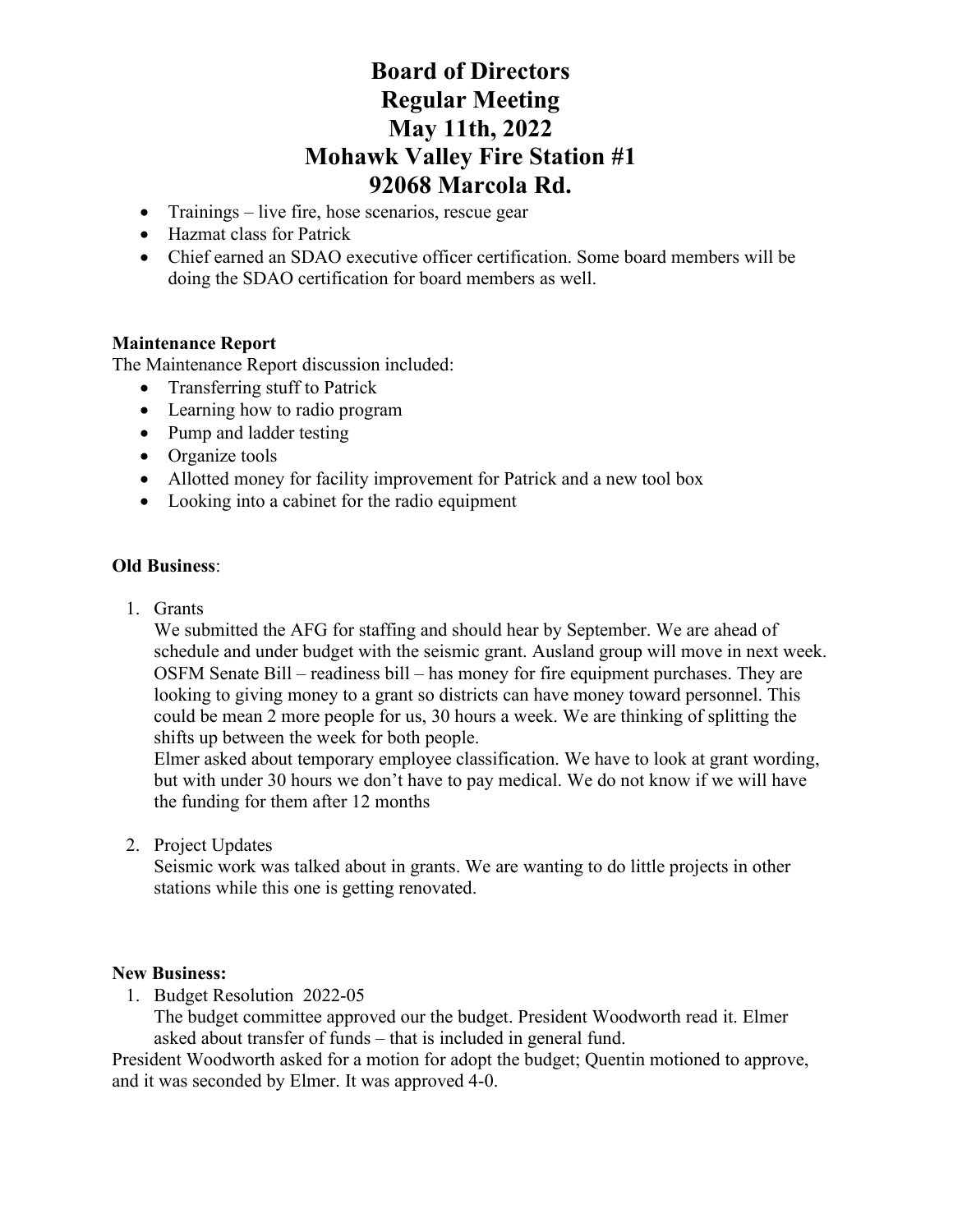- Trainings live fire, hose scenarios, rescue gear
- Hazmat class for Patrick
- Chief earned an SDAO executive officer certification. Some board members will be doing the SDAO certification for board members as well.

## **Maintenance Report**

The Maintenance Report discussion included:

- Transferring stuff to Patrick
- Learning how to radio program
- Pump and ladder testing
- Organize tools
- Allotted money for facility improvement for Patrick and a new tool box
- Looking into a cabinet for the radio equipment

## **Old Business**:

1. Grants

We submitted the AFG for staffing and should hear by September. We are ahead of schedule and under budget with the seismic grant. Ausland group will move in next week. OSFM Senate Bill – readiness bill – has money for fire equipment purchases. They are looking to giving money to a grant so districts can have money toward personnel. This could be mean 2 more people for us, 30 hours a week. We are thinking of splitting the shifts up between the week for both people.

Elmer asked about temporary employee classification. We have to look at grant wording, but with under 30 hours we don't have to pay medical. We do not know if we will have the funding for them after 12 months

2. Project Updates

Seismic work was talked about in grants. We are wanting to do little projects in other stations while this one is getting renovated.

#### **New Business:**

1. Budget Resolution 2022-05

The budget committee approved our the budget. President Woodworth read it. Elmer asked about transfer of funds – that is included in general fund.

President Woodworth asked for a motion for adopt the budget; Quentin motioned to approve, and it was seconded by Elmer. It was approved 4-0.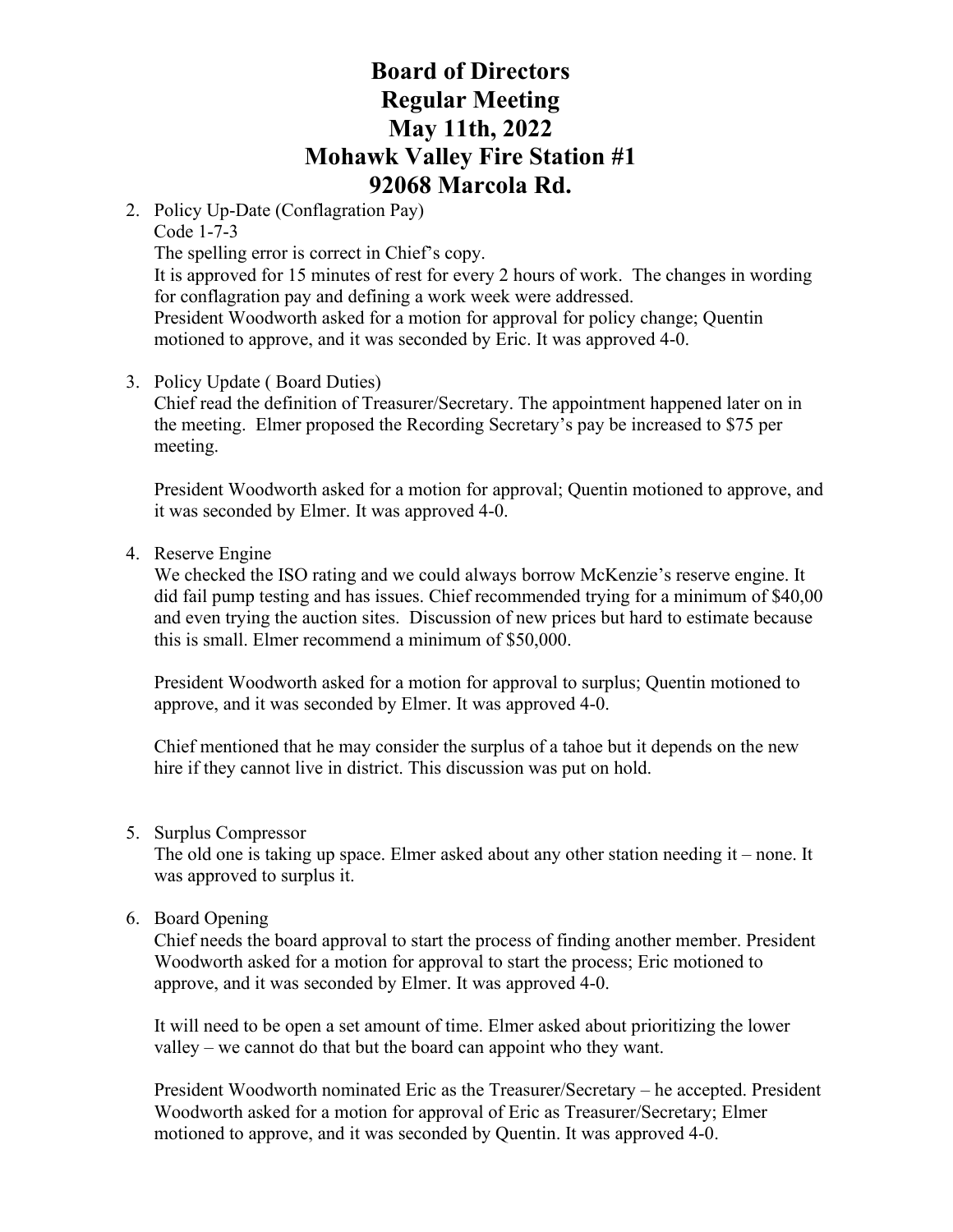2. Policy Up-Date (Conflagration Pay)

Code 1-7-3 The spelling error is correct in Chief's copy.

It is approved for 15 minutes of rest for every 2 hours of work. The changes in wording for conflagration pay and defining a work week were addressed.

President Woodworth asked for a motion for approval for policy change; Quentin motioned to approve, and it was seconded by Eric. It was approved 4-0.

3. Policy Update ( Board Duties)

Chief read the definition of Treasurer/Secretary. The appointment happened later on in the meeting. Elmer proposed the Recording Secretary's pay be increased to \$75 per meeting.

President Woodworth asked for a motion for approval; Quentin motioned to approve, and it was seconded by Elmer. It was approved 4-0.

4. Reserve Engine

We checked the ISO rating and we could always borrow McKenzie's reserve engine. It did fail pump testing and has issues. Chief recommended trying for a minimum of \$40,00 and even trying the auction sites. Discussion of new prices but hard to estimate because this is small. Elmer recommend a minimum of \$50,000.

President Woodworth asked for a motion for approval to surplus; Quentin motioned to approve, and it was seconded by Elmer. It was approved 4-0.

Chief mentioned that he may consider the surplus of a tahoe but it depends on the new hire if they cannot live in district. This discussion was put on hold.

5. Surplus Compressor

The old one is taking up space. Elmer asked about any other station needing it – none. It was approved to surplus it.

6. Board Opening

Chief needs the board approval to start the process of finding another member. President Woodworth asked for a motion for approval to start the process; Eric motioned to approve, and it was seconded by Elmer. It was approved 4-0.

It will need to be open a set amount of time. Elmer asked about prioritizing the lower valley – we cannot do that but the board can appoint who they want.

President Woodworth nominated Eric as the Treasurer/Secretary – he accepted. President Woodworth asked for a motion for approval of Eric as Treasurer/Secretary; Elmer motioned to approve, and it was seconded by Quentin. It was approved 4-0.